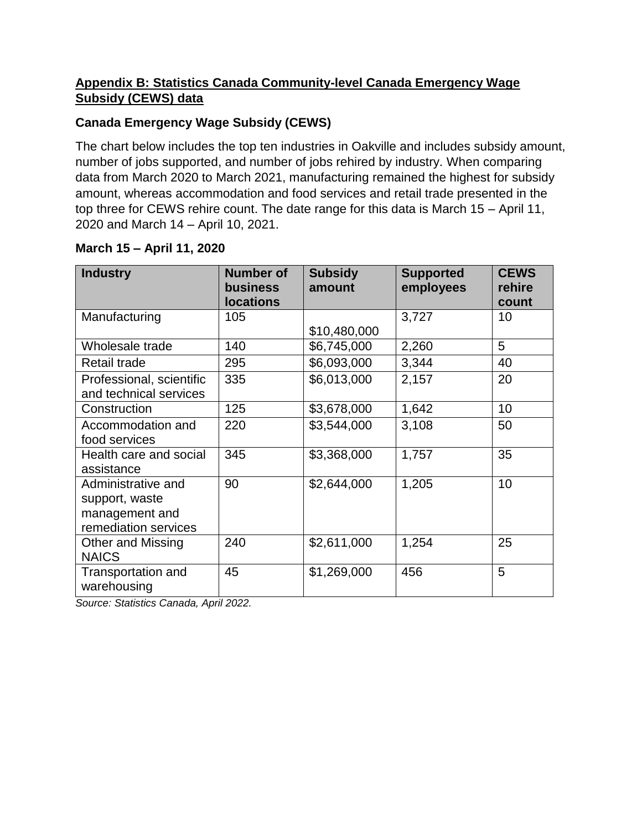## **Appendix B: Statistics Canada Community-level Canada Emergency Wage Subsidy (CEWS) data**

## **Canada Emergency Wage Subsidy (CEWS)**

The chart below includes the top ten industries in Oakville and includes subsidy amount, number of jobs supported, and number of jobs rehired by industry. When comparing data from March 2020 to March 2021, manufacturing remained the highest for subsidy amount, whereas accommodation and food services and retail trade presented in the top three for CEWS rehire count. The date range for this data is March 15 – April 11, 2020 and March 14 – April 10, 2021.

| <b>Industry</b>                                                                | <b>Number of</b><br><b>business</b><br><b>locations</b> | <b>Subsidy</b><br>amount | <b>Supported</b><br>employees | <b>CEWS</b><br>rehire<br>count |
|--------------------------------------------------------------------------------|---------------------------------------------------------|--------------------------|-------------------------------|--------------------------------|
| Manufacturing                                                                  | 105                                                     | \$10,480,000             | 3,727                         | 10                             |
| Wholesale trade                                                                | 140                                                     | \$6,745,000              | 2,260                         | 5                              |
| Retail trade                                                                   | 295                                                     | \$6,093,000              | 3,344                         | 40                             |
| Professional, scientific<br>and technical services                             | 335                                                     | \$6,013,000              | 2,157                         | 20                             |
| Construction                                                                   | 125                                                     | \$3,678,000              | 1,642                         | 10                             |
| Accommodation and<br>food services                                             | 220                                                     | \$3,544,000              | 3,108                         | 50                             |
| Health care and social<br>assistance                                           | 345                                                     | \$3,368,000              | 1,757                         | 35                             |
| Administrative and<br>support, waste<br>management and<br>remediation services | 90                                                      | \$2,644,000              | 1,205                         | 10                             |
| <b>Other and Missing</b><br><b>NAICS</b>                                       | 240                                                     | \$2,611,000              | 1,254                         | 25                             |
| <b>Transportation and</b><br>warehousing                                       | 45                                                      | \$1,269,000              | 456                           | 5                              |

## **March 15 – April 11, 2020**

*Source: Statistics Canada, April 2022.*